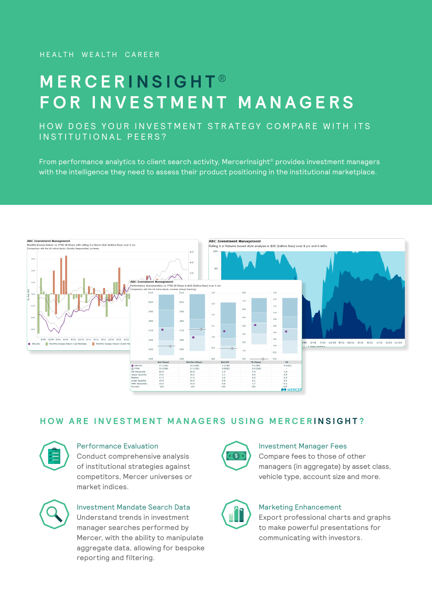# **MERCER INSIGHT ® FOR INVESTMENT MANAGERS**

## HOW DOES YOUR INVESTMENT STRATEGY COMPARE WITH ITS IN STITUTIONAL PEERS?

From performance analytics to client search activity, MercerInsight<sup>®</sup> provides investment managers with the intelligence they need to assess their product positioning in the institutional marketplace.



## **HOW ARE INVESTMENT MANAGERS USING MERCER INSIGHT ?**



### Performance Evaluation

Conduct comprehensive analysis of institutional strategies against competitors, Mercer universes or market indices.





manager searches performed by Mercer, with the ability to manipulate aggregate data, allowing for bespoke reporting and filtering.



### Investment Manager Fees

Compare fees to those of other managers (in aggregate) by asset class, vehicle type, account size and more.



### Marketing Enhancement

Export professional charts and graphs to make powerful presentations for communicating with investors.